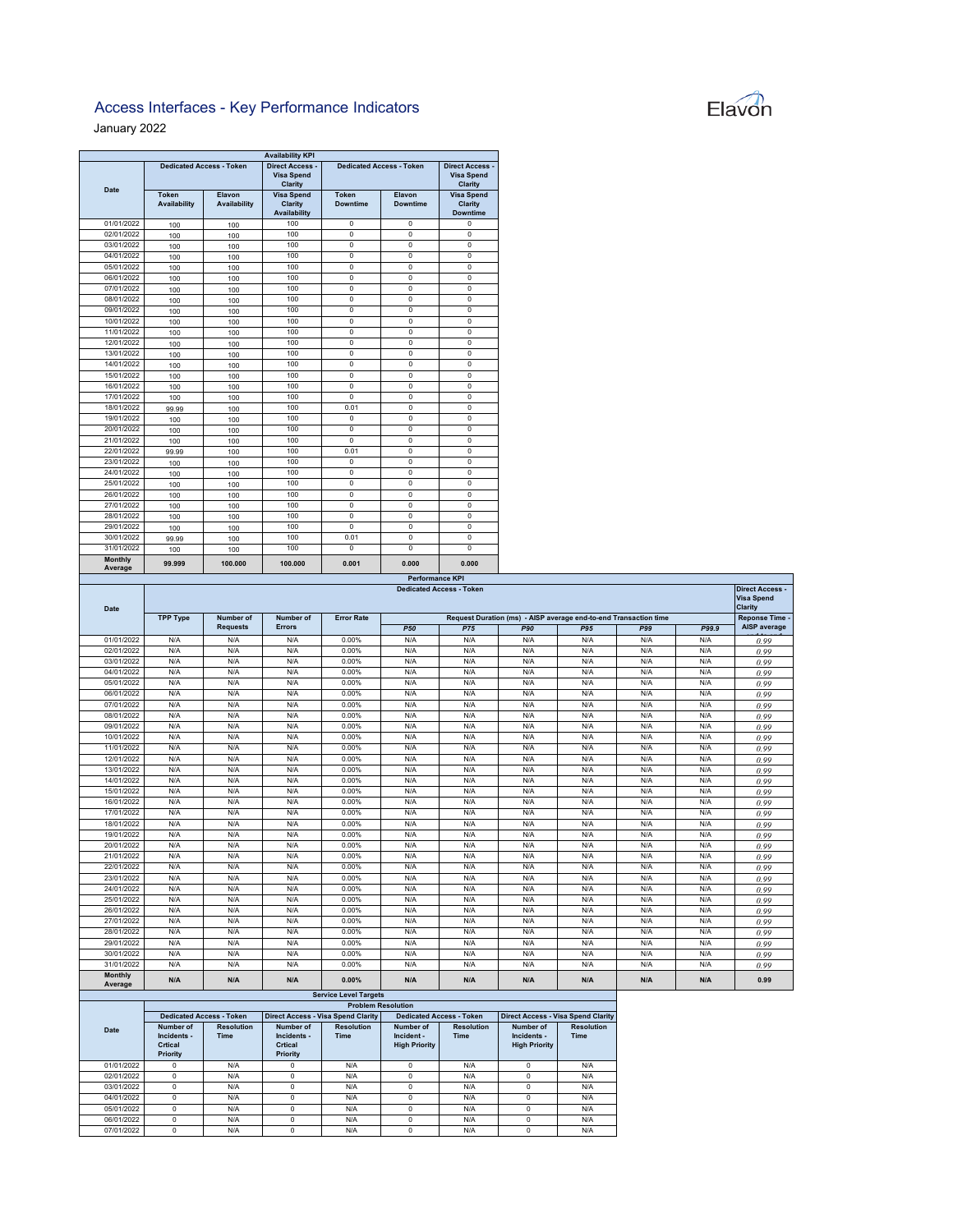## Access Interfaces - Key Performance Indicators

January 2022 

|                           |                       |                                 | <b>Availability KPI</b>                              |                          |                                 |                                                        |            |
|---------------------------|-----------------------|---------------------------------|------------------------------------------------------|--------------------------|---------------------------------|--------------------------------------------------------|------------|
| <b>Date</b>               |                       | <b>Dedicated Access - Token</b> | <b>Direct Access</b><br><b>Visa Spend</b><br>Clarity |                          | <b>Dedicated Access - Token</b> | <b>Direct Access -</b><br><b>Visa Spend</b><br>Clarity |            |
|                           | Token<br>Availability | Elavon<br><b>Availability</b>   | <b>Visa Spend</b><br>Clarity<br><b>Availability</b>  | Token<br><b>Downtime</b> | Elavon<br><b>Downtime</b>       | <b>Visa Spend</b><br>Clarity<br><b>Downtime</b>        |            |
| 01/01/2022                | 100                   | 100                             | 100                                                  | $\mathbf 0$              | $\mathbf 0$                     | 0                                                      |            |
| 02/01/2022                | 100                   | 100                             | 100                                                  | 0                        | $\mathbf 0$                     | $\mathbf 0$                                            |            |
| 03/01/2022                | 100                   | 100                             | 100                                                  | $\overline{0}$           | $\mathbf 0$                     | $\overline{0}$                                         |            |
| 04/01/2022                | 100                   | 100                             | 100                                                  | $\mathbf 0$              | $\mathbf 0$                     | 0                                                      |            |
| 05/01/2022                | 100                   | 100                             | 100                                                  | $\overline{0}$           | $\mathbf 0$                     | $\overline{0}$                                         |            |
| 06/01/2022                | 100                   | 100                             | 100                                                  | $\mathbf 0$              | $\mathbf 0$                     | $\mathbf 0$                                            |            |
| 07/01/2022                | 100                   | 100                             | 100                                                  | 0                        | $\overline{0}$                  | 0                                                      |            |
| 08/01/2022                | 100                   | 100                             | 100                                                  | $\mathbf 0$              | $\mathbf 0$                     | $\mathbf 0$                                            |            |
| 09/01/2022                | 100                   | 100                             | 100                                                  | $\mathbf 0$              | $\mathbf 0$                     | 0                                                      |            |
| 10/01/2022                | 100                   | 100                             | 100                                                  | $\overline{0}$           | $\overline{0}$                  | $\overline{0}$                                         |            |
| 11/01/2022                | 100                   | 100                             | 100                                                  | $\mathbf 0$              | $\mathbf 0$                     | $\mathbf 0$                                            |            |
| 12/01/2022                | 100                   | 100                             | 100                                                  | $\overline{0}$           | $\overline{0}$                  | $\overline{0}$                                         |            |
| 13/01/2022                | 100                   | 100                             | 100                                                  | $\mathbf 0$              | $\mathbf 0$                     | $\mathbf 0$                                            |            |
| 14/01/2022                | 100                   | 100                             | 100                                                  | $\mathbf 0$              | $\mathbf 0$                     | 0                                                      |            |
| 15/01/2022                | 100                   | 100                             | 100                                                  | $\mathbf 0$              | $\mathbf 0$                     | $\mathbf 0$                                            |            |
| 16/01/2022                | 100                   | 100                             | 100                                                  | $\mathbf 0$              | $\mathbf 0$                     | $\mathbf 0$                                            |            |
| 17/01/2022                | 100                   | 100                             | 100                                                  | $\overline{0}$           | $\overline{0}$                  | $\overline{0}$                                         |            |
| 18/01/2022                | 99.99                 | 100                             | 100                                                  | 0.01                     | $\mathbf{0}$                    | 0                                                      |            |
| 19/01/2022                | 100                   | 100                             | 100                                                  | $\mathbf 0$              | $\mathbf 0$                     | 0                                                      |            |
| 20/01/2022                | 100                   | 100                             | 100                                                  | $\mathbf 0$              | $\mathbf 0$                     | $\mathbf 0$                                            |            |
| 21/01/2022                | 100                   | 100                             | 100                                                  | $\overline{0}$           | $\overline{0}$                  | $\overline{0}$                                         |            |
| 22/01/2022                | 99.99                 | 100                             | 100                                                  | 0.01                     | $\mathbf 0$                     | $\mathbf 0$                                            |            |
| 23/01/2022                | 100                   | 100                             | 100                                                  | $\mathbf 0$              | $\mathbf 0$                     | $\mathbf 0$                                            |            |
| 24/01/2022                | 100                   | 100                             | 100                                                  | 0                        | $\mathbf 0$                     | 0                                                      |            |
| 25/01/2022                | 100                   | 100                             | 100                                                  | $\mathbf 0$              | $\mathbf 0$                     | $\mathbf 0$                                            |            |
| 26/01/2022                | 100                   | 100                             | 100                                                  | $\overline{0}$           | $\overline{0}$                  | $\overline{0}$                                         |            |
| 27/01/2022                | 100                   | 100                             | 100                                                  | $\mathbf 0$              | $\mathbf 0$                     | $\mathbf 0$                                            |            |
| 28/01/2022                | 100                   | 100                             | 100                                                  | $\overline{0}$           | $\overline{0}$                  | $\overline{0}$                                         |            |
| 29/01/2022                | 100                   | 100                             | 100                                                  | $\mathbf 0$              | $\mathbf 0$                     | $\mathbf 0$                                            |            |
| 30/01/2022                | 99.99                 | 100                             | 100                                                  | 0.01                     | $\mathbf 0$                     | 0                                                      |            |
| 31/01/2022                | 100                   | 100                             | 100                                                  | $\overline{0}$           | $\overline{0}$                  | $\overline{0}$                                         |            |
| <b>Monthly</b><br>Average | 99.999                | 100.000                         | 100.000                                              | 0.001                    | 0.000                           | 0.000                                                  |            |
|                           |                       |                                 |                                                      |                          | <b>Performance KPI</b>          |                                                        |            |
| <b>Date</b>               |                       |                                 |                                                      |                          |                                 | <b>Dedicated Access - Token</b>                        |            |
|                           | <b>TPP Type</b>       | Number of                       | Number of                                            | <b>Error Rate</b>        |                                 | Request Duration (ms) - AISP av                        |            |
|                           |                       | <b>Requests</b>                 | <b>Errors</b>                                        |                          | <b>P50</b>                      | <b>P75</b>                                             | <b>P90</b> |
| 01/01/2022                | N/A                   | N/A                             | N/A                                                  | 0.00%                    | N/A                             | N/A                                                    | N/A        |
| 02/01/2022                | N/A                   | N/A                             | N/A                                                  | 0.00%                    | N/A                             | N/A                                                    | N/A        |
| 03/01/2022                | N/A                   | N/A                             | N/A                                                  | 0.00%                    | N/A                             | N/A                                                    | N/A        |
| 04/01/2022                | N/A                   | N/A                             | N/A                                                  | 0.00%                    | N/A                             | N/A                                                    | N/A        |
| 05/01/2022                | N/A                   | N/A                             | N/A                                                  | 0.00%                    | N/A                             | N/A                                                    | N/A        |
|                           |                       |                                 |                                                      |                          | N/A                             | N/A                                                    | N/A        |
| 06/01/2022                | N/A                   | N/A                             | N/A                                                  | 0.00%                    |                                 |                                                        |            |
| 07/01/2022                | N/A                   | N/A                             | N/A                                                  | 0.00%                    | N/A                             | N/A                                                    | N/A        |

| Elavon |
|--------|
|        |

|                    |                                                                                                     |                 |               |                              |            |            |                |     |            |       | <b>Direct Access -</b> |  |
|--------------------|-----------------------------------------------------------------------------------------------------|-----------------|---------------|------------------------------|------------|------------|----------------|-----|------------|-------|------------------------|--|
| Date               | <b>Dedicated Access - Token</b><br>Request Duration (ms) - AISP average end-to-end Transaction time |                 |               |                              |            |            |                |     |            |       |                        |  |
|                    | <b>TPP Type</b>                                                                                     | Number of       | Number of     | <b>Error Rate</b>            |            |            | Reponse Time - |     |            |       |                        |  |
|                    |                                                                                                     | <b>Requests</b> | <b>Errors</b> |                              | <b>P50</b> | <b>P75</b> | <b>P90</b>     | P95 | <b>P99</b> | P99.9 | AISP average           |  |
| 01/01/2022         | N/A                                                                                                 | N/A             | N/A           | 0.00%                        | N/A        | N/A        | N/A            | N/A | N/A        | N/A   | 0.99                   |  |
| 02/01/2022         | N/A                                                                                                 | N/A             | N/A           | 0.00%                        | N/A        | N/A        | N/A            | N/A | N/A        | N/A   | 0.99                   |  |
| 03/01/2022         | N/A                                                                                                 | N/A             | N/A           | 0.00%                        | N/A        | N/A        | N/A            | N/A | N/A        | N/A   | 0.99                   |  |
| 04/01/2022         | N/A                                                                                                 | N/A             | N/A           | 0.00%                        | N/A        | N/A        | N/A            | N/A | N/A        | N/A   | 0.99                   |  |
| 05/01/2022         | N/A                                                                                                 | N/A             | N/A           | 0.00%                        | N/A        | N/A        | N/A            | N/A | N/A        | N/A   | 0.99                   |  |
| 06/01/2022         | N/A                                                                                                 | N/A             | N/A           | 0.00%                        | N/A        | N/A        | N/A            | N/A | N/A        | N/A   | 0.99                   |  |
| 07/01/2022         | N/A                                                                                                 | N/A             | N/A           | 0.00%                        | N/A        | N/A        | N/A            | N/A | N/A        | N/A   | 0.99                   |  |
| 08/01/2022         | N/A                                                                                                 | N/A             | N/A           | 0.00%                        | N/A        | N/A        | N/A            | N/A | N/A        | N/A   | 0.99                   |  |
| 09/01/2022         | N/A                                                                                                 | N/A             | N/A           | 0.00%                        | N/A        | N/A        | N/A            | N/A | N/A        | N/A   | 0.99                   |  |
| 10/01/2022         | N/A                                                                                                 | N/A             | N/A           | 0.00%                        | N/A        | N/A        | N/A            | N/A | N/A        | N/A   | 0.99                   |  |
| 11/01/2022         | N/A                                                                                                 | N/A             | N/A           | 0.00%                        | N/A        | N/A        | N/A            | N/A | N/A        | N/A   | 0.99                   |  |
| 12/01/2022         | N/A                                                                                                 | N/A             | N/A           | 0.00%                        | N/A        | N/A        | N/A            | N/A | N/A        | N/A   | 0.99                   |  |
| 13/01/2022         | N/A                                                                                                 | N/A             | N/A           | 0.00%                        | N/A        | N/A        | N/A            | N/A | N/A        | N/A   | 0.99                   |  |
| 14/01/2022         | N/A                                                                                                 | N/A             | N/A           | 0.00%                        | N/A        | N/A        | N/A            | N/A | N/A        | N/A   | 0.99                   |  |
| 15/01/2022         | N/A                                                                                                 | N/A             | N/A           | 0.00%                        | N/A        | N/A        | N/A            | N/A | N/A        | N/A   | 0.99                   |  |
| 16/01/2022         | N/A                                                                                                 | N/A             | N/A           | 0.00%                        | N/A        | N/A        | N/A            | N/A | N/A        | N/A   | 0.99                   |  |
| 17/01/2022         | N/A                                                                                                 | N/A             | N/A           | 0.00%                        | N/A        | N/A        | N/A            | N/A | N/A        | N/A   | 0.99                   |  |
| 18/01/2022         | N/A                                                                                                 | N/A             | N/A           | 0.00%                        | N/A        | N/A        | N/A            | N/A | N/A        | N/A   | 0.99                   |  |
| 19/01/2022         | N/A                                                                                                 | N/A             | N/A           | 0.00%                        | N/A        | N/A        | N/A            | N/A | N/A        | N/A   | 0.99                   |  |
| 20/01/2022         | N/A                                                                                                 | N/A             | N/A           | 0.00%                        | N/A        | N/A        | N/A            | N/A | N/A        | N/A   | 0.99                   |  |
| 21/01/2022         | N/A                                                                                                 | N/A             | N/A           | 0.00%                        | N/A        | N/A        | N/A            | N/A | N/A        | N/A   | 0.99                   |  |
| 22/01/2022         | N/A                                                                                                 | N/A             | N/A           | 0.00%                        | N/A        | N/A        | N/A            | N/A | N/A        | N/A   | 0.99                   |  |
| 23/01/2022         | N/A                                                                                                 | N/A             | N/A           | 0.00%                        | N/A        | N/A        | N/A            | N/A | N/A        | N/A   | 0.99                   |  |
| 24/01/2022         | N/A                                                                                                 | N/A             | N/A           | 0.00%                        | N/A        | N/A        | N/A            | N/A | N/A        | N/A   | 0.99                   |  |
| 25/01/2022         | N/A                                                                                                 | N/A             | N/A           | 0.00%                        | N/A        | N/A        | N/A            | N/A | N/A        | N/A   | 0.99                   |  |
| 26/01/2022         | N/A                                                                                                 | N/A             | N/A           | 0.00%                        | N/A        | N/A        | N/A            | N/A | N/A        | N/A   | 0.99                   |  |
| 27/01/2022         | N/A                                                                                                 | N/A             | N/A           | 0.00%                        | N/A        | N/A        | N/A            | N/A | N/A        | N/A   | 0.99                   |  |
| 28/01/2022         | N/A                                                                                                 | N/A             | N/A           | 0.00%                        | N/A        | N/A        | N/A            | N/A | N/A        | N/A   | 0.99                   |  |
| 29/01/2022         | N/A                                                                                                 | N/A             | N/A           | 0.00%                        | N/A        | N/A        | N/A            | N/A | N/A        | N/A   | 0.99                   |  |
| 30/01/2022         | N/A                                                                                                 | N/A             | N/A           | 0.00%                        | N/A        | N/A        | N/A            | N/A | N/A        | N/A   | 0.99                   |  |
| 31/01/2022         | N/A                                                                                                 | N/A             | N/A           | 0.00%                        | N/A        | N/A        | N/A            | N/A | N/A        | N/A   | 0.99                   |  |
| Monthly<br>Average | N/A                                                                                                 | N/A             | N/A           | 0.00%                        | N/A        | N/A        | N/A            | N/A | N/A        | N/A   | 0.99                   |  |
|                    |                                                                                                     |                 |               | <b>Service Level Targets</b> |            |            |                |     |            |       |                        |  |

|            | <b>Problem Resolution</b>                       |                                  |                                                 |                                           |                                                        |                                  |                                                  |                                  |  |  |
|------------|-------------------------------------------------|----------------------------------|-------------------------------------------------|-------------------------------------------|--------------------------------------------------------|----------------------------------|--------------------------------------------------|----------------------------------|--|--|
|            |                                                 | <b>Dedicated Access - Token</b>  |                                                 | <b>Direct Access - Visa Spend Clarity</b> |                                                        | <b>Dedicated Access - Token</b>  | <b>Direct Access - Visa Spend Clarity</b>        |                                  |  |  |
| Date       | Number of<br>Incidents -<br>Crtical<br>Priority | <b>Resolution</b><br><b>Time</b> | Number of<br>Incidents -<br>Crtical<br>Priority | <b>Resolution</b><br><b>Time</b>          | <b>Number of</b><br>Incident -<br><b>High Priority</b> | <b>Resolution</b><br><b>Time</b> | Number of<br>Incidents -<br><b>High Priority</b> | <b>Resolution</b><br><b>Time</b> |  |  |
| 01/01/2022 |                                                 | N/A                              | o                                               | N/A                                       | $\Omega$                                               | N/A                              | C                                                | N/A                              |  |  |
| 02/01/2022 |                                                 | N/A                              | o                                               | N/A                                       | $\Omega$                                               | N/A                              | $\Omega$                                         | N/A                              |  |  |
| 03/01/2022 |                                                 | N/A                              | n                                               | N/A                                       | $\Omega$                                               | N/A                              | $\Omega$                                         | N/A                              |  |  |
| 04/01/2022 |                                                 | N/A                              | 0                                               | N/A                                       | $\Omega$                                               | N/A                              | C                                                | N/A                              |  |  |
| 05/01/2022 |                                                 | N/A                              |                                                 | N/A                                       | $\Omega$                                               | N/A                              | C                                                | N/A                              |  |  |
| 06/01/2022 |                                                 | N/A                              | 0                                               | N/A                                       | $\Omega$                                               | N/A                              | C                                                | N/A                              |  |  |
| 07/01/2022 |                                                 | N/A                              | n                                               | N/A                                       | $\Omega$                                               | N/A                              | n                                                | N/A                              |  |  |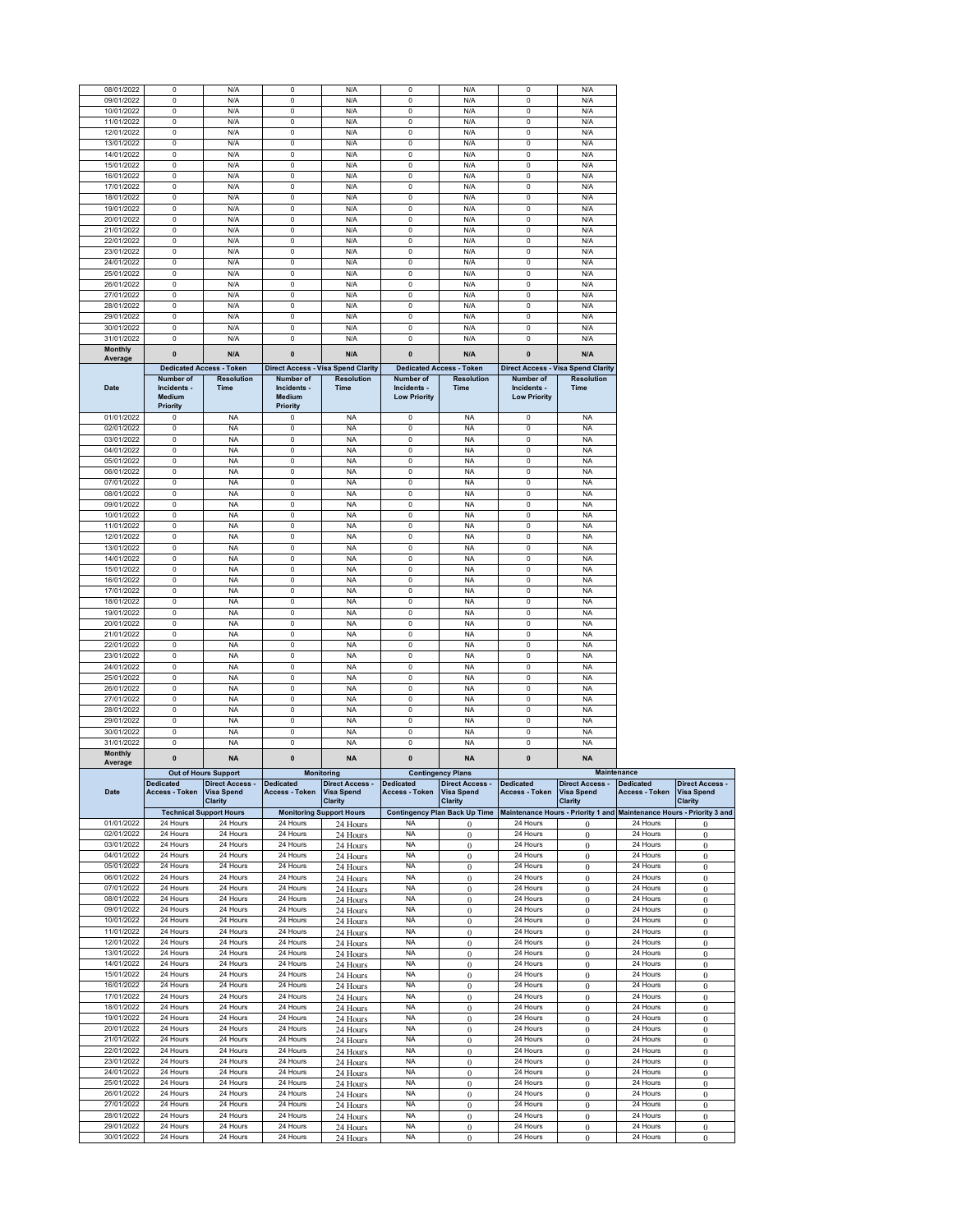| 08/01/2022               |                                    |                                 |                                    |                                           |                                                 |                                      |                                                 |                                                                       |                      |                              |
|--------------------------|------------------------------------|---------------------------------|------------------------------------|-------------------------------------------|-------------------------------------------------|--------------------------------------|-------------------------------------------------|-----------------------------------------------------------------------|----------------------|------------------------------|
|                          | 0                                  | N/A                             | $\mathsf 0$                        | N/A                                       | $\pmb{0}$                                       | N/A                                  | 0                                               | N/A                                                                   |                      |                              |
| 09/01/2022               | $\mathsf 0$                        | N/A                             | $\mathsf 0$                        | N/A                                       | $\bf{0}$                                        | N/A                                  | $\pmb{0}$                                       | N/A                                                                   |                      |                              |
| 10/01/2022               | 0                                  | N/A                             | 0                                  | N/A                                       | $\pmb{0}$                                       | N/A                                  | 0                                               | N/A                                                                   |                      |                              |
| 11/01/2022               | $\mathbf 0$                        | N/A                             | $\mathsf 0$                        | N/A                                       | $\mathbf 0$                                     | N/A                                  | $\mathsf 0$                                     | N/A                                                                   |                      |                              |
| 12/01/2022               | $\mathsf 0$                        | N/A                             | 0                                  | N/A                                       | $\bf{0}$                                        | N/A                                  | $\pmb{0}$                                       | N/A                                                                   |                      |                              |
| 13/01/2022               | $\mathsf 0$                        | N/A                             | 0                                  | N/A                                       | $\pmb{0}$                                       | N/A                                  | 0                                               | N/A                                                                   |                      |                              |
| 14/01/2022               | 0                                  | N/A                             | $\mathsf 0$                        | N/A                                       | $\pmb{0}$                                       | N/A                                  | $\mathbf 0$                                     | N/A                                                                   |                      |                              |
|                          |                                    |                                 |                                    |                                           |                                                 |                                      | $\mathbf 0$                                     |                                                                       |                      |                              |
| 15/01/2022               | 0                                  | N/A                             | $\mathsf 0$                        | N/A                                       | $\bf{0}$                                        | N/A                                  |                                                 | N/A                                                                   |                      |                              |
| 16/01/2022               | 0                                  | N/A                             | $\pmb{0}$                          | N/A                                       | $\pmb{0}$                                       | N/A                                  | 0                                               | N/A                                                                   |                      |                              |
| 17/01/2022               | $\mathsf 0$                        | N/A                             | 0                                  | N/A                                       | $\pmb{0}$                                       | N/A                                  | $\mathbf 0$                                     | N/A                                                                   |                      |                              |
| 18/01/2022               | $\mathsf 0$                        | N/A                             | 0                                  | N/A                                       | $\bf{0}$                                        | N/A                                  | $\pmb{0}$                                       | N/A                                                                   |                      |                              |
| 19/01/2022               | $\mathsf 0$                        | N/A                             | $\pmb{0}$                          | N/A                                       | $\pmb{0}$                                       | N/A                                  | 0                                               | N/A                                                                   |                      |                              |
| 20/01/2022               | $\mathsf 0$                        | N/A                             | $\mathbf 0$                        | N/A                                       | $\mathbf 0$                                     | N/A                                  | $\mathbf 0$                                     | N/A                                                                   |                      |                              |
| 21/01/2022               | 0                                  | N/A                             | $\mathsf 0$                        | N/A                                       | $\pmb{0}$                                       | N/A                                  | $\mathbf 0$                                     | N/A                                                                   |                      |                              |
| 22/01/2022               | $\mathsf 0$                        | N/A                             | $\pmb{0}$                          | N/A                                       | 0                                               | N/A                                  | 0                                               | N/A                                                                   |                      |                              |
| 23/01/2022               | $\mathsf 0$                        | N/A                             | 0                                  | N/A                                       | $\mathbf 0$                                     | N/A                                  | $\mathsf 0$                                     | N/A                                                                   |                      |                              |
|                          | 0                                  |                                 | $\mathsf 0$                        |                                           |                                                 |                                      | $\mathsf 0$                                     | N/A                                                                   |                      |                              |
| 24/01/2022               |                                    | N/A                             |                                    | N/A                                       | $\pmb{0}$                                       | N/A                                  |                                                 |                                                                       |                      |                              |
| 25/01/2022               | $\circ$                            | N/A                             | $\circ$                            | N/A                                       | $^{\circ}$                                      | N/A                                  | $\circ$                                         | N/A                                                                   |                      |                              |
| 26/01/2022               | $\mathsf 0$                        | N/A                             | 0                                  | N/A                                       | $\overline{\mathbf{0}}$                         | N/A                                  | $\mathsf 0$                                     | N/A                                                                   |                      |                              |
| 27/01/2022               | 0                                  | N/A                             | $\mathsf 0$                        | N/A                                       | $\pmb{0}$                                       | N/A                                  | $\mathsf 0$                                     | N/A                                                                   |                      |                              |
| 28/01/2022               | 0                                  | N/A                             | $\mathsf 0$                        | N/A                                       | 0                                               | N/A                                  | 0                                               | N/A                                                                   |                      |                              |
| 29/01/2022               | 0                                  | N/A                             | 0                                  | N/A                                       | $\mathbf 0$                                     | N/A                                  | $\mathsf 0$                                     | N/A                                                                   |                      |                              |
| 30/01/2022               | $\mathbf 0$                        | N/A                             | $\circ$                            | N/A                                       | $\pmb{0}$                                       | N/A                                  | $\circ$                                         | N/A                                                                   |                      |                              |
| 31/01/2022               | $\mathsf 0$                        | N/A                             | 0                                  | N/A                                       | $\pmb{0}$                                       | N/A                                  | $\pmb{0}$                                       | N/A                                                                   |                      |                              |
| <b>Monthly</b>           |                                    |                                 |                                    |                                           |                                                 |                                      |                                                 |                                                                       |                      |                              |
| Average                  | $\pmb{0}$                          | N/A                             | $\pmb{0}$                          | N/A                                       | $\pmb{0}$                                       | N/A                                  | $\mathbf{0}$                                    | N/A                                                                   |                      |                              |
|                          |                                    | <b>Dedicated Access - Token</b> |                                    | <b>Direct Access - Visa Spend Clarity</b> |                                                 | <b>Dedicated Access - Token</b>      |                                                 | <b>Direct Access - Visa Spend Clarity</b>                             |                      |                              |
| Date                     | Number of<br>Incidents -<br>Medium | <b>Resolution</b><br>Time       | Number of<br>Incidents -<br>Medium | <b>Resolution</b><br>Time                 | Number of<br>Incidents -<br><b>Low Priority</b> | <b>Resolution</b><br>Time            | Number of<br>Incidents -<br><b>Low Priority</b> | <b>Resolution</b><br><b>Time</b>                                      |                      |                              |
|                          | Priority                           |                                 | Priority                           |                                           |                                                 |                                      |                                                 |                                                                       |                      |                              |
| 01/01/2022               | 0                                  | <b>NA</b>                       | $\Omega$                           | <b>NA</b>                                 | $\pmb{0}$                                       | <b>NA</b>                            | 0                                               | <b>NA</b>                                                             |                      |                              |
| 02/01/2022               | 0                                  | <b>NA</b>                       | 0                                  | <b>NA</b>                                 | $\mathbf 0$                                     | <b>NA</b>                            | $\mathsf 0$                                     | <b>NA</b>                                                             |                      |                              |
| 03/01/2022               | $\mathbf 0$                        | <b>NA</b>                       | $\circ$                            | <b>NA</b>                                 | $\mathbf 0$                                     | <b>NA</b>                            | $\circ$                                         | NA                                                                    |                      |                              |
| 04/01/2022               | 0                                  | NA                              | 0                                  | <b>NA</b>                                 | $\pmb{0}$                                       | <b>NA</b>                            | 0                                               | NA                                                                    |                      |                              |
| 05/01/2022               | 0                                  | <b>NA</b>                       | 0                                  | <b>NA</b>                                 | $\pmb{0}$                                       | <b>NA</b>                            | 0                                               | <b>NA</b>                                                             |                      |                              |
| 06/01/2022               | 0                                  | <b>NA</b>                       | $\mathsf 0$                        | <b>NA</b>                                 | $\mathbf 0$                                     | <b>NA</b>                            | $\mathbf 0$                                     | <b>NA</b>                                                             |                      |                              |
| 07/01/2022               | $\mathsf 0$                        | <b>NA</b>                       | $\mathsf 0$                        | <b>NA</b>                                 | $\overline{0}$                                  | <b>NA</b>                            | $\overline{0}$                                  | <b>NA</b>                                                             |                      |                              |
| 08/01/2022               | 0                                  | <b>NA</b>                       | 0                                  | <b>NA</b>                                 | $\pmb{0}$                                       | <b>NA</b>                            | 0                                               | <b>NA</b>                                                             |                      |                              |
|                          |                                    |                                 |                                    |                                           |                                                 |                                      |                                                 |                                                                       |                      |                              |
| 09/01/2022               | $\mathbf 0$                        | <b>NA</b>                       | $\mathsf 0$                        | <b>NA</b>                                 | $\mathbf 0$                                     | <b>NA</b>                            | $\mathsf 0$                                     | <b>NA</b>                                                             |                      |                              |
| 10/01/2022               | $\mathsf 0$                        | <b>NA</b>                       | 0                                  | <b>NA</b>                                 | $\mathbf 0$                                     | <b>NA</b>                            | $\pmb{0}$                                       | <b>NA</b>                                                             |                      |                              |
| 11/01/2022               | $\mathsf 0$                        | <b>NA</b>                       | 0                                  | <b>NA</b>                                 | $\pmb{0}$                                       | <b>NA</b>                            | 0                                               | <b>NA</b>                                                             |                      |                              |
| 12/01/2022               | 0                                  | <b>NA</b>                       | $\mathsf 0$                        | <b>NA</b>                                 | $\pmb{0}$                                       | <b>NA</b>                            | $\mathbf 0$                                     | <b>NA</b>                                                             |                      |                              |
| 13/01/2022               | 0                                  | <b>NA</b>                       | $\mathsf 0$                        | <b>NA</b>                                 | $\bf{0}$                                        | <b>NA</b>                            | $\mathsf{O}\xspace$                             | <b>NA</b>                                                             |                      |                              |
| 14/01/2022               | 0                                  | <b>NA</b>                       | 0                                  | <b>NA</b>                                 | $\pmb{0}$                                       | <b>NA</b>                            | 0                                               | <b>NA</b>                                                             |                      |                              |
| 15/01/2022               | 0                                  | <b>NA</b>                       | 0                                  | <b>NA</b>                                 | $\pmb{0}$                                       | <b>NA</b>                            | $\mathsf 0$                                     | <b>NA</b>                                                             |                      |                              |
| 16/01/2022               | $\mathbf 0$                        | <b>NA</b>                       | 0                                  | <b>NA</b>                                 | $\mathbf 0$                                     | <b>NA</b>                            | $\circ$                                         | <b>NA</b>                                                             |                      |                              |
| 17/01/2022               | $\mathsf 0$                        | NA                              | 0                                  | <b>NA</b>                                 | 0                                               | <b>NA</b>                            | 0                                               | <b>NA</b>                                                             |                      |                              |
| 18/01/2022               | 0                                  | <b>NA</b>                       | 0                                  | <b>NA</b>                                 | $\pmb{0}$                                       | <b>NA</b>                            | $\mathsf{O}\xspace$                             | <b>NA</b>                                                             |                      |                              |
| 19/01/2022               | 0                                  | <b>NA</b>                       | $\mathsf 0$                        | <b>NA</b>                                 | $\pmb{0}$                                       | <b>NA</b>                            | $\mathbf 0$                                     | <b>NA</b>                                                             |                      |                              |
|                          |                                    |                                 |                                    |                                           |                                                 |                                      |                                                 |                                                                       |                      |                              |
| 20/01/2022               | $\mathsf 0$                        | NA                              | 0                                  | <b>NA</b>                                 | 0                                               | <b>NA</b>                            | 0                                               | NA                                                                    |                      |                              |
| 21/01/2022               | $\mathsf 0$                        | <b>NA</b>                       | 0                                  | <b>NA</b>                                 | $\mathbf 0$                                     | <b>NA</b>                            | $\mathsf 0$                                     | <b>NA</b>                                                             |                      |                              |
| 22/01/2022               | $\mathsf 0$                        | <b>NA</b>                       | 0                                  |                                           | $\pmb{0}$                                       |                                      | $\mathsf 0$                                     | <b>NA</b>                                                             |                      |                              |
|                          |                                    |                                 |                                    | <b>NA</b>                                 |                                                 | <b>NA</b>                            |                                                 |                                                                       |                      |                              |
| 23/01/2022               | 0                                  | NA                              | 0                                  | <b>NA</b>                                 | 0                                               | <b>NA</b>                            | 0                                               | NA                                                                    |                      |                              |
| 24/01/2022               | $\mathsf 0$                        | <b>NA</b>                       | 0                                  | <b>NA</b>                                 | $\mathbf 0$                                     | <b>NA</b>                            | $\mathsf 0$                                     | <b>NA</b>                                                             |                      |                              |
|                          |                                    |                                 |                                    |                                           |                                                 |                                      |                                                 |                                                                       |                      |                              |
| 25/01/2022               | 0                                  | <b>NA</b>                       | $\mathsf 0$                        | <b>NA</b>                                 | $\pmb{0}$                                       | <b>NA</b>                            | $\mathsf 0$                                     | <b>NA</b>                                                             |                      |                              |
| 26/01/2022               | 0                                  | <b>NA</b>                       | 0                                  | <b>NA</b>                                 | 0                                               | <b>NA</b>                            | 0                                               | NA                                                                    |                      |                              |
| 27/01/2022               | 0                                  | <b>NA</b>                       | 0                                  | <b>NA</b>                                 | $\mathbf 0$                                     | <b>NA</b>                            | $\mathsf 0$                                     | <b>NA</b>                                                             |                      |                              |
| 28/01/2022               | $\mathbf 0$                        | <b>NA</b>                       | $\circ$                            | <b>NA</b>                                 | $\pmb{0}$                                       | <b>NA</b>                            | 0                                               | <b>NA</b>                                                             |                      |                              |
| 29/01/2022               | $\mathsf 0$                        | <b>NA</b>                       | 0                                  | <b>NA</b>                                 | $\pmb{0}$                                       | <b>NA</b>                            | $\pmb{0}$                                       | NA                                                                    |                      |                              |
| 30/01/2022               | $\mathsf 0$                        | <b>NA</b>                       | 0                                  | <b>NA</b>                                 | $\mathbf 0$                                     | <b>NA</b>                            | 0                                               | <b>NA</b>                                                             |                      |                              |
| 31/01/2022               | $\circ$                            | <b>NA</b>                       | $\mathsf 0$                        | <b>NA</b>                                 | $\mathbf 0$                                     | <b>NA</b>                            | $\mathsf 0$                                     | <b>NA</b>                                                             |                      |                              |
| <b>Monthly</b>           |                                    |                                 |                                    |                                           |                                                 |                                      |                                                 |                                                                       |                      |                              |
| Average                  | $\pmb{0}$                          | <b>NA</b>                       | $\pmb{0}$                          | <b>NA</b>                                 | $\pmb{0}$                                       | <b>NA</b>                            | $\pmb{0}$                                       | <b>NA</b>                                                             |                      |                              |
|                          |                                    | <b>Out of Hours Support</b>     |                                    | <b>Monitoring</b>                         |                                                 | <b>Contingency Plans</b>             |                                                 | Maintenance                                                           |                      |                              |
|                          | <b>Dedicated</b>                   | <b>Direct Access -</b>          | <b>Dedicated</b>                   | <b>Direct Access -</b>                    | <b>Dedicated</b>                                | <b>Direct Access -</b>               | <b>Dedicated</b>                                | Direct Access -                                                       | <b>Dedicated</b>     | <b>Direct Access -</b>       |
| Date                     | <b>Access - Token</b>              | <b>Visa Spend</b>               | Access - Token                     | <b>Visa Spend</b>                         | Access - Token                                  | <b>Visa Spend</b>                    | Access - Token                                  | <b>Visa Spend</b>                                                     | Access - Token       | <b>Visa Spend</b>            |
|                          |                                    | Clarity                         |                                    | Clarity                                   |                                                 | Clarity                              |                                                 | Clarity                                                               |                      | Clarity                      |
|                          |                                    | <b>Technical Support Hours</b>  |                                    | <b>Monitoring Support Hours</b>           |                                                 | <b>Contingency Plan Back Up Time</b> |                                                 | Maintenance Hours - Priority 1 and Maintenance Hours - Priority 3 and |                      |                              |
| 01/01/2022               | 24 Hours                           | 24 Hours                        | 24 Hours                           | 24 Hours                                  | <b>NA</b>                                       |                                      | 24 Hours                                        |                                                                       | 24 Hours             |                              |
| 02/01/2022               | 24 Hours                           | 24 Hours                        | 24 Hours                           | 24 Hours                                  | <b>NA</b>                                       | $\boldsymbol{0}$                     | 24 Hours                                        | $\bf{0}$                                                              | 24 Hours             | $\bf{0}$                     |
| 03/01/2022               | 24 Hours                           | 24 Hours                        | 24 Hours                           | 24 Hours                                  | <b>NA</b>                                       | $\bf{0}$                             | 24 Hours                                        | $\bf{0}$                                                              | 24 Hours             | $\bf{0}$                     |
| 04/01/2022               | 24 Hours                           | 24 Hours                        | 24 Hours                           | 24 Hours                                  | <b>NA</b>                                       | $\boldsymbol{0}$                     | 24 Hours                                        | $\mathbf{0}$                                                          | 24 Hours             | $\bf{0}$                     |
| 05/01/2022               | 24 Hours                           | 24 Hours                        | 24 Hours                           | 24 Hours                                  | <b>NA</b>                                       | $\boldsymbol{0}$                     | 24 Hours                                        | $\bf{0}$                                                              | 24 Hours             | $\bf{0}$                     |
| 06/01/2022               | 24 Hours                           | 24 Hours                        | 24 Hours                           | 24 Hours                                  | <b>NA</b>                                       | $\bf{0}$                             | 24 Hours                                        | $\bf{0}$                                                              | 24 Hours             | $\boldsymbol{0}$             |
| 07/01/2022               | 24 Hours                           | 24 Hours                        | 24 Hours                           | 24 Hours                                  | <b>NA</b>                                       | $\bf{0}$                             | 24 Hours                                        | $\boldsymbol{0}$                                                      | 24 Hours             | $\bf{0}$                     |
| 08/01/2022               | 24 Hours                           | 24 Hours                        | 24 Hours                           | 24 Hours                                  | <b>NA</b>                                       | $\boldsymbol{0}$                     | 24 Hours                                        | $\mathbf{0}$                                                          | 24 Hours             | $\bf{0}$                     |
| 09/01/2022               | 24 Hours                           | 24 Hours                        | 24 Hours                           | 24 Hours                                  | <b>NA</b>                                       | $\bf{0}$                             | 24 Hours                                        | $\bf{0}$                                                              | 24 Hours             | $\bf{0}$                     |
| 10/01/2022               | 24 Hours                           | 24 Hours                        | 24 Hours                           | 24 Hours                                  | <b>NA</b>                                       | $\boldsymbol{0}$                     | 24 Hours                                        | $\mathbf{0}$                                                          | 24 Hours             | $\bf{0}$                     |
| 11/01/2022               | 24 Hours                           | 24 Hours                        | 24 Hours                           |                                           | <b>NA</b>                                       | $\boldsymbol{0}$                     | 24 Hours                                        | $\mathbf{0}$                                                          | 24 Hours             | $\bf{0}$                     |
| 12/01/2022               | 24 Hours                           | 24 Hours                        | 24 Hours                           | 24 Hours                                  | <b>NA</b>                                       |                                      | 24 Hours                                        |                                                                       | 24 Hours             |                              |
|                          |                                    |                                 |                                    | 24 Hours                                  |                                                 | 0                                    |                                                 | $\bf{0}$                                                              |                      | $\bf{0}$                     |
| 13/01/2022               | 24 Hours                           | 24 Hours                        | 24 Hours                           | 24 Hours                                  | <b>NA</b>                                       | $\boldsymbol{0}$                     | 24 Hours                                        | $\boldsymbol{0}$                                                      | 24 Hours             | $\boldsymbol{0}$             |
| 14/01/2022               | 24 Hours                           | 24 Hours                        | 24 Hours                           | 24 Hours                                  | <b>NA</b>                                       | $\bf{0}$                             | 24 Hours                                        | $\bf{0}$                                                              | 24 Hours             | $\bf{0}$                     |
| 15/01/2022               | 24 Hours                           | 24 Hours                        | 24 Hours                           | 24 Hours                                  | <b>NA</b>                                       | $\bf{0}$                             | 24 Hours                                        | $\bf{0}$                                                              | 24 Hours             | $\bf{0}$                     |
| 16/01/2022               | 24 Hours                           | 24 Hours                        | 24 Hours                           | 24 Hours                                  | <b>NA</b>                                       | $\boldsymbol{0}$                     | 24 Hours                                        | $\boldsymbol{0}$                                                      | 24 Hours             | $\boldsymbol{0}$             |
| 17/01/2022               | 24 Hours                           | 24 Hours                        | 24 Hours                           | 24 Hours                                  | <b>NA</b>                                       | $\bf{0}$                             | 24 Hours                                        | $\bf{0}$                                                              | 24 Hours             | $\bf{0}$                     |
| 18/01/2022               | 24 Hours                           | 24 Hours                        | 24 Hours                           | 24 Hours                                  | <b>NA</b>                                       | 0                                    | 24 Hours                                        | $\bf{0}$                                                              | 24 Hours             | $\bf{0}$                     |
| 19/01/2022               | 24 Hours                           | 24 Hours                        | 24 Hours                           | 24 Hours                                  | <b>NA</b>                                       | $\bf{0}$                             | 24 Hours                                        | $\mathbf{0}$                                                          | 24 Hours             | $\boldsymbol{0}$             |
| 20/01/2022               | 24 Hours                           | 24 Hours                        | 24 Hours                           | 24 Hours                                  | <b>NA</b>                                       | $\bf{0}$                             | 24 Hours                                        | $\bf{0}$                                                              | 24 Hours             | $\bf{0}$                     |
| 21/01/2022               | 24 Hours                           | 24 Hours                        | 24 Hours                           | 24 Hours                                  | <b>NA</b>                                       | $\bf{0}$                             | 24 Hours                                        | $\boldsymbol{0}$                                                      | 24 Hours             | $\boldsymbol{0}$             |
| 22/01/2022               | 24 Hours                           | 24 Hours                        | 24 Hours                           | 24 Hours                                  | <b>NA</b>                                       | $\bf{0}$                             | 24 Hours                                        | $\mathbf{0}$                                                          | 24 Hours             | $\bf{0}$                     |
| 23/01/2022               | 24 Hours                           | 24 Hours                        | 24 Hours                           | 24 Hours                                  | <b>NA</b>                                       | $\boldsymbol{0}$                     | 24 Hours                                        | $\bf{0}$                                                              | 24 Hours             | $\bf{0}$                     |
| 24/01/2022               | 24 Hours                           | 24 Hours                        | 24 Hours                           |                                           | <b>NA</b>                                       |                                      | 24 Hours                                        |                                                                       | 24 Hours             |                              |
|                          |                                    |                                 |                                    | 24 Hours                                  |                                                 | $\boldsymbol{0}$                     |                                                 | $\boldsymbol{0}$                                                      |                      | $\boldsymbol{0}$             |
| 25/01/2022<br>26/01/2022 | 24 Hours                           | 24 Hours<br>24 Hours            | 24 Hours<br>24 Hours               | 24 Hours                                  | <b>NA</b><br><b>NA</b>                          | $\bf{0}$                             | 24 Hours<br>24 Hours                            | $\mathbf{0}$                                                          | 24 Hours<br>24 Hours | $\bf{0}$                     |
|                          | 24 Hours                           |                                 |                                    | 24 Hours                                  |                                                 | $\boldsymbol{0}$                     |                                                 | $\bf{0}$                                                              |                      | $\bf{0}$                     |
| 27/01/2022               | 24 Hours                           | 24 Hours                        | 24 Hours                           | 24 Hours                                  | <b>NA</b>                                       | $\boldsymbol{0}$                     | 24 Hours                                        | $\bf{0}$                                                              | 24 Hours             | $\bf{0}$                     |
| 28/01/2022               | 24 Hours                           | 24 Hours                        | 24 Hours                           | 24 Hours                                  | <b>NA</b>                                       | $\bf{0}$                             | 24 Hours                                        | $\bf{0}$                                                              | 24 Hours             | $\bf{0}$                     |
| 29/01/2022<br>30/01/2022 | 24 Hours<br>24 Hours               | 24 Hours<br>24 Hours            | 24 Hours<br>24 Hours               | 24 Hours<br>24 Hours                      | <b>NA</b><br><b>NA</b>                          | $\boldsymbol{0}$<br>$\bf{0}$         | 24 Hours<br>24 Hours                            | $\mathbf{0}$<br>$\bf{0}$                                              | 24 Hours<br>24 Hours | $\bf{0}$<br>$\boldsymbol{0}$ |